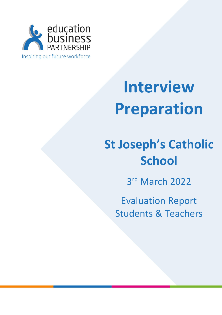

# **Interview Preparation**

# **St Joseph's Catholic School**

3 rd March 2022

Evaluation Report Students & Teachers

1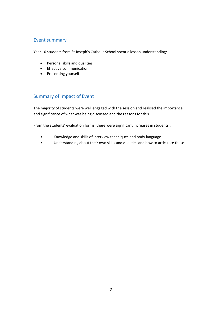#### Event summary

Year 10 students from St Joseph's Catholic School spent a lesson understanding:

- Personal skills and qualities
- Effective communication
- Presenting yourself

# Summary of Impact of Event

The majority of students were well engaged with the session and realised the importance and significance of what was being discussed and the reasons for this.

From the students' evaluation forms, there were significant increases in students':

- Knowledge and skills of interview techniques and body language
- Understanding about their own skills and qualities and how to articulate these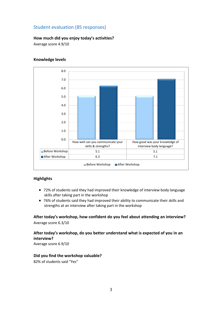# Student evaluation (85 responses)

# **How much did you enjoy today's activities?**

Average score 4.9/10



#### **Knowledge levels**

#### **Highlights**

- 72% of students said they had improved their knowledge of interview body language skills after taking part in the workshop
- 76% of students said they had improved their ability to communicate their skills and strengths at an interview after taking part in the workshop

**After today's workshop, how confident do you feel about attending an interview?** Average score 6.3/10

**After today's workshop, do you better understand what is expected of you in an interview?**

Average score 6.9/10

#### **Did you find the workshop valuable?**

82% of students said "Yes"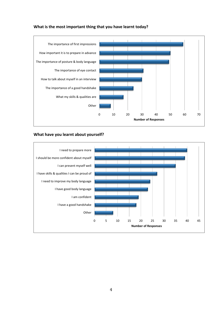



#### **What have you learnt about yourself?**

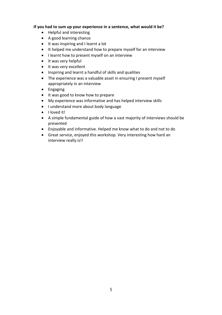#### **If you had to sum up your experience in a sentence, what would it be?**

- Helpful and interesting
- A good learning chance
- It was inspiring and I learnt a lot
- It helped me understand how to prepare myself for an interview
- I learnt how to present myself on an interview
- It was very helpful
- It was very excellent
- Inspiring and learnt a handful of skills and qualities
- The experience was a valuable asset in ensuring I present myself appropriately in an interview
- Engaging
- It was good to know how to prepare
- My experience was informative and has helped interview skills
- I understand more about body language
- I loved it!
- A simple fundamental guide of how a vast majority of interviews should be presented
- Enjoyable and informative. Helped me know what to do and not to do
- Great service, enjoyed this workshop. Very interesting how hard an interview really is!!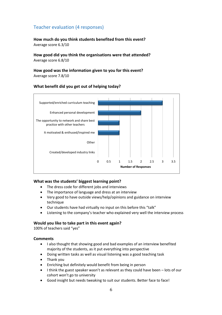# Teacher evaluation (4 responses)

**How much do you think students benefited from this event?**  Average score 6.3/10

**How good did you think the organisations were that attended?**  Average score 6.8/10

#### **How good was the information given to you for this event?** Average score 7.8/10

#### **What benefit did you get out of helping today?**



#### **What was the students' biggest learning point?**

- The dress code for different jobs and interviews
- The importance of language and dress at an interview
- Very good to have outside views/help/opinions and guidance on interview technique
- Our students have had virtually no input on this before this "talk"
- Listening to the company's teacher who explained very well the interview process

#### **Would you like to take part in this event again?**

100% of teachers said "yes"

#### **Comments**

- I also thought that showing good and bad examples of an interview benefited majority of the students, as it put everything into perspective
- Doing written tasks as well as visual listening was a good teaching task
- Thank you
- Enriching but definitely would benefit from being in person
- I think the guest speaker wasn't as relevant as they could have been lots of our cohort won't go to university
- Good insight but needs tweaking to suit our students. Better face to face!